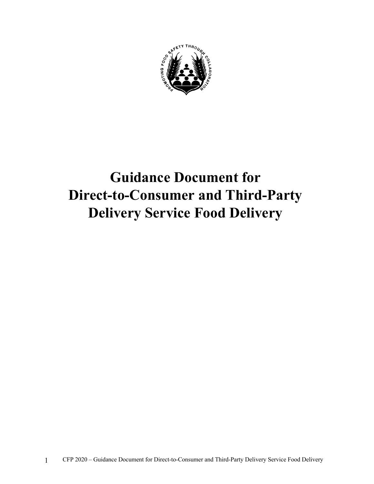

# **Guidance Document for Direct-to-Consumer and Third-Party Delivery Service Food Delivery**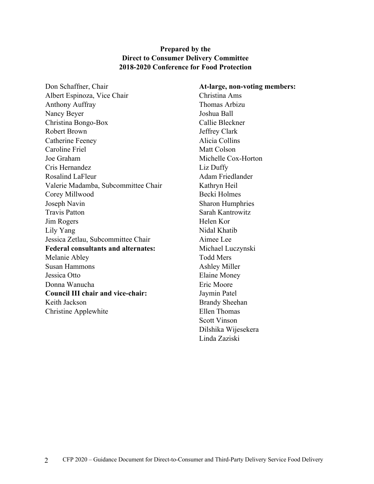## **Prepared by the Direct to Consumer Delivery Committee 2018-2020 Conference for Food Protection**

| Don Schaffner, Chair                       |
|--------------------------------------------|
| Albert Espinoza, Vice Chair                |
| <b>Anthony Auffray</b>                     |
| Nancy Beyer                                |
| Christina Bongo-Box                        |
| <b>Robert Brown</b>                        |
| <b>Catherine Feeney</b>                    |
| Caroline Friel                             |
| Joe Graham                                 |
| Cris Hernandez                             |
| <b>Rosalind LaFleur</b>                    |
| Valerie Madamba, Subcommittee Chair        |
| Corey Millwood                             |
| Joseph Navin                               |
| <b>Travis Patton</b>                       |
| Jim Rogers                                 |
| Lily Yang                                  |
| Jessica Zetlau, Subcommittee Chair         |
| <b>Federal consultants and alternates:</b> |
| Melanie Abley                              |
| <b>Susan Hammons</b>                       |
| Jessica Otto                               |
| Donna Wanucha                              |
| <b>Council III chair and vice-chair:</b>   |
| Keith Jackson                              |
| Christine Applewhite                       |
|                                            |

**At-large, non-voting members:** Christina Ams Thomas Arbizu Joshua Ball Callie Bleckner Jeffrey Clark Alicia Collins Matt Colson Michelle Cox-Horton Liz Duffy Adam Friedlander Kathryn Heil Becki Holmes Sharon Humphries Sarah Kantrowitz Helen Kor Nidal Khatib Aimee Lee Michael Luczynski Todd Mers Ashley Miller Elaine Money Eric Moore Jaymin Patel Brandy Sheehan Ellen Thomas Scott Vinson Dilshika Wijesekera Linda Zaziski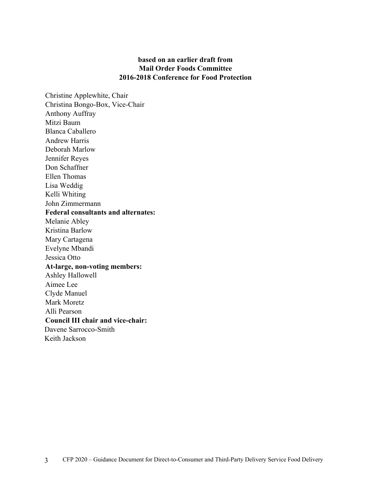## **based on an earlier draft from Mail Order Foods Committee 2016-2018 Conference for Food Protection**

Christine Applewhite, Chair Christina Bongo-Box, Vice-Chair Anthony Auffray Mitzi Baum Blanca Caballero Andrew Harris Deborah Marlow Jennifer Reyes Don Schaffner Ellen Thomas Lisa Weddig Kelli Whiting John Zimmermann **Federal consultants and alternates:** Melanie Abley Kristina Barlow Mary Cartagena Evelyne Mbandi Jessica Otto **At-large, non-voting members:** Ashley Hallowell Aimee Lee Clyde Manuel Mark Moretz Alli Pearson **Council III chair and vice-chair:** Davene Sarrocco-Smith Keith Jackson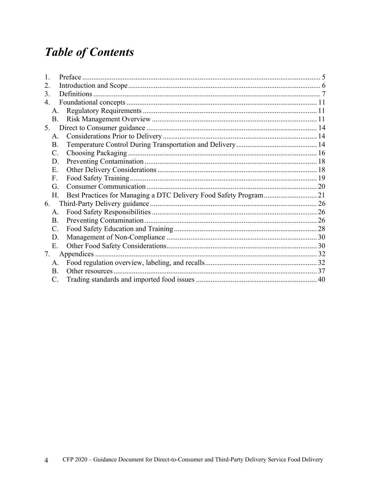# **Table of Contents**

| $\mathbf{1}$ .  |            |  |  |  |  |
|-----------------|------------|--|--|--|--|
| 2.              |            |  |  |  |  |
| 3.              |            |  |  |  |  |
| 4.              |            |  |  |  |  |
| A.              |            |  |  |  |  |
| <b>B.</b>       |            |  |  |  |  |
| 5.              |            |  |  |  |  |
| A.              |            |  |  |  |  |
| Β.              |            |  |  |  |  |
| $\mathbf{C}$ .  |            |  |  |  |  |
| D.              |            |  |  |  |  |
| Ε.              |            |  |  |  |  |
| F.              |            |  |  |  |  |
| G.              |            |  |  |  |  |
| Н.              |            |  |  |  |  |
| 6.              |            |  |  |  |  |
| А.              |            |  |  |  |  |
| <b>B.</b>       |            |  |  |  |  |
| $\mathcal{C}$ . |            |  |  |  |  |
| D.              |            |  |  |  |  |
| Ε.              |            |  |  |  |  |
| 7.              | Appendices |  |  |  |  |
| A.              |            |  |  |  |  |
| $\bf{B}$ .      |            |  |  |  |  |
| $\mathcal{C}$ . |            |  |  |  |  |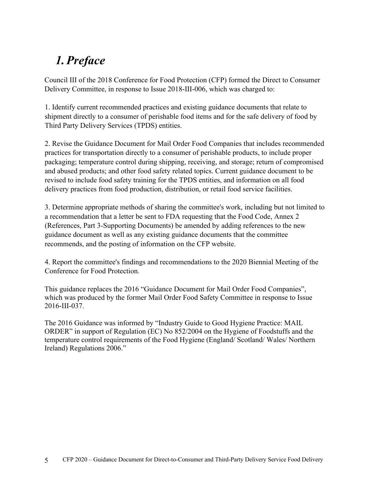# *1.Preface*

Council III of the 2018 Conference for Food Protection (CFP) formed the Direct to Consumer Delivery Committee, in response to Issue 2018-III-006, which was charged to:

1. Identify current recommended practices and existing guidance documents that relate to shipment directly to a consumer of perishable food items and for the safe delivery of food by Third Party Delivery Services (TPDS) entities.

2. Revise the Guidance Document for Mail Order Food Companies that includes recommended practices for transportation directly to a consumer of perishable products, to include proper packaging; temperature control during shipping, receiving, and storage; return of compromised and abused products; and other food safety related topics. Current guidance document to be revised to include food safety training for the TPDS entities, and information on all food delivery practices from food production, distribution, or retail food service facilities.

3. Determine appropriate methods of sharing the committee's work, including but not limited to a recommendation that a letter be sent to FDA requesting that the Food Code, Annex 2 (References, Part 3-Supporting Documents) be amended by adding references to the new guidance document as well as any existing guidance documents that the committee recommends, and the posting of information on the CFP website.

4. Report the committee's findings and recommendations to the 2020 Biennial Meeting of the Conference for Food Protection.

This guidance replaces the 2016 "Guidance Document for Mail Order Food Companies", which was produced by the former Mail Order Food Safety Committee in response to Issue 2016-III-037.

The 2016 Guidance was informed by "Industry Guide to Good Hygiene Practice: MAIL ORDER" in support of Regulation (EC) No 852/2004 on the Hygiene of Foodstuffs and the temperature control requirements of the Food Hygiene (England/ Scotland/ Wales/ Northern Ireland) Regulations 2006."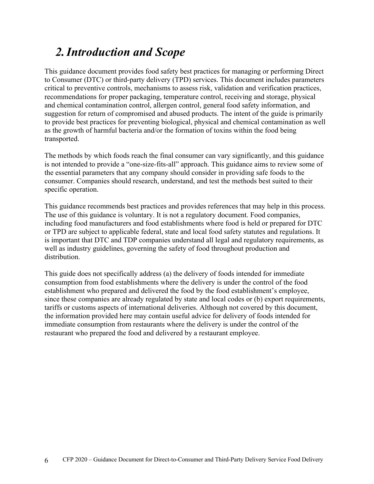# *2.Introduction and Scope*

This guidance document provides food safety best practices for managing or performing Direct to Consumer (DTC) or third-party delivery (TPD) services. This document includes parameters critical to preventive controls, mechanisms to assess risk, validation and verification practices, recommendations for proper packaging, temperature control, receiving and storage, physical and chemical contamination control, allergen control, general food safety information, and suggestion for return of compromised and abused products. The intent of the guide is primarily to provide best practices for preventing biological, physical and chemical contamination as well as the growth of harmful bacteria and/or the formation of toxins within the food being transported.

The methods by which foods reach the final consumer can vary significantly, and this guidance is not intended to provide a "one-size-fits-all" approach. This guidance aims to review some of the essential parameters that any company should consider in providing safe foods to the consumer. Companies should research, understand, and test the methods best suited to their specific operation.

This guidance recommends best practices and provides references that may help in this process. The use of this guidance is voluntary. It is not a regulatory document. Food companies, including food manufacturers and food establishments where food is held or prepared for DTC or TPD are subject to applicable federal, state and local food safety statutes and regulations. It is important that DTC and TDP companies understand all legal and regulatory requirements, as well as industry guidelines, governing the safety of food throughout production and distribution.

This guide does not specifically address (a) the delivery of foods intended for immediate consumption from food establishments where the delivery is under the control of the food establishment who prepared and delivered the food by the food establishment's employee, since these companies are already regulated by state and local codes or (b) export requirements, tariffs or customs aspects of international deliveries. Although not covered by this document, the information provided here may contain useful advice for delivery of foods intended for immediate consumption from restaurants where the delivery is under the control of the restaurant who prepared the food and delivered by a restaurant employee.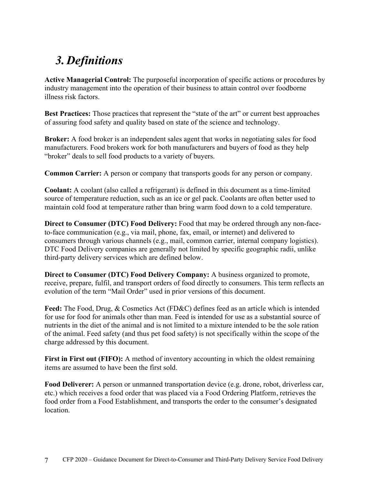# *3. Definitions*

**Active Managerial Control:** The purposeful incorporation of specific actions or procedures by industry management into the operation of their business to attain control over foodborne illness risk factors.

**Best Practices:** Those practices that represent the "state of the art" or current best approaches of assuring food safety and quality based on state of the science and technology.

**Broker:** A food broker is an independent sales agent that works in negotiating sales for food manufacturers. Food brokers work for both manufacturers and buyers of food as they help "broker" deals to sell food products to a variety of buyers.

**Common Carrier:** A person or company that transports goods for any person or company.

**Coolant:** A coolant (also called a refrigerant) is defined in this document as a time-limited source of temperature reduction, such as an ice or gel pack. Coolants are often better used to maintain cold food at temperature rather than bring warm food down to a cold temperature.

**Direct to Consumer (DTC) Food Delivery:** Food that may be ordered through any non-faceto-face communication (e.g., via mail, phone, fax, email, or internet) and delivered to consumers through various channels (e.g., mail, common carrier, internal company logistics). DTC Food Delivery companies are generally not limited by specific geographic radii, unlike third-party delivery services which are defined below.

**Direct to Consumer (DTC) Food Delivery Company:** A business organized to promote, receive, prepare, fulfil, and transport orders of food directly to consumers. This term reflects an evolution of the term "Mail Order" used in prior versions of this document.

**Feed:** The Food, Drug, & Cosmetics Act (FD&C) defines feed as an article which is intended for use for food for animals other than man. Feed is intended for use as a substantial source of nutrients in the diet of the animal and is not limited to a mixture intended to be the sole ration of the animal. Feed safety (and thus pet food safety) is not specifically within the scope of the charge addressed by this document.

**First in First out (FIFO):** A method of inventory accounting in which the oldest remaining items are assumed to have been the first sold.

**Food Deliverer:** A person or unmanned transportation device (e.g. drone, robot, driverless car, etc.) which receives a food order that was placed via a Food Ordering Platform, retrieves the food order from a Food Establishment, and transports the order to the consumer's designated location.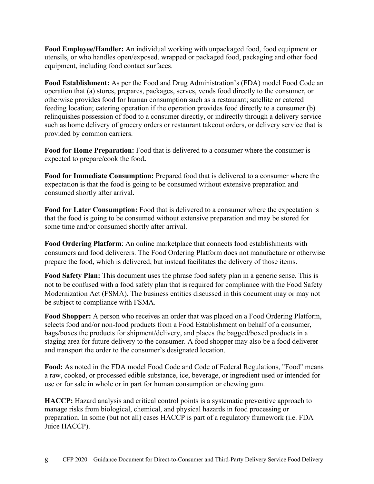**Food Employee/Handler:** An individual working with unpackaged food, food equipment or utensils, or who handles open/exposed, wrapped or packaged food, packaging and other food equipment, including food contact surfaces.

**Food Establishment:** As per the Food and Drug Administration's (FDA) model Food Code an operation that (a) stores, prepares, packages, serves, vends food directly to the consumer, or otherwise provides food for human consumption such as a restaurant; satellite or catered feeding location; catering operation if the operation provides food directly to a consumer (b) relinquishes possession of food to a consumer directly, or indirectly through a delivery service such as home delivery of grocery orders or restaurant takeout orders, or delivery service that is provided by common carriers.

**Food for Home Preparation:** Food that is delivered to a consumer where the consumer is expected to prepare/cook the food**.**

**Food for Immediate Consumption:** Prepared food that is delivered to a consumer where the expectation is that the food is going to be consumed without extensive preparation and consumed shortly after arrival.

**Food for Later Consumption:** Food that is delivered to a consumer where the expectation is that the food is going to be consumed without extensive preparation and may be stored for some time and/or consumed shortly after arrival.

**Food Ordering Platform**: An online marketplace that connects food establishments with consumers and food deliverers. The Food Ordering Platform does not manufacture or otherwise prepare the food, which is delivered, but instead facilitates the delivery of those items.

**Food Safety Plan:** This document uses the phrase food safety plan in a generic sense. This is not to be confused with a food safety plan that is required for compliance with the Food Safety Modernization Act (FSMA). The business entities discussed in this document may or may not be subject to compliance with FSMA.

**Food Shopper:** A person who receives an order that was placed on a Food Ordering Platform, selects food and/or non-food products from a Food Establishment on behalf of a consumer, bags/boxes the products for shipment/delivery, and places the bagged/boxed products in a staging area for future delivery to the consumer. A food shopper may also be a food deliverer and transport the order to the consumer's designated location.

**Food:** As noted in the FDA model Food Code and Code of Federal Regulations, "Food" means a raw, cooked, or processed edible substance, ice, beverage, or ingredient used or intended for use or for sale in whole or in part for human consumption or chewing gum.

**HACCP:** Hazard analysis and critical control points is a systematic preventive approach to manage risks from biological, chemical, and physical hazards in food processing or preparation. In some (but not all) cases HACCP is part of a regulatory framework (i.e. FDA Juice HACCP).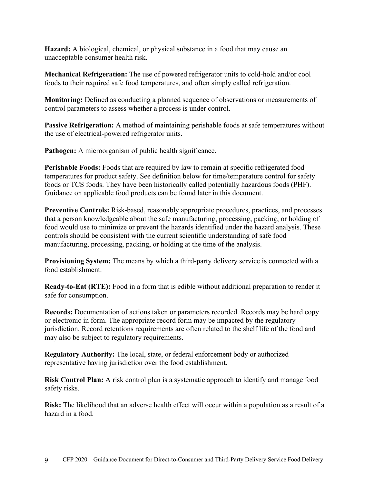**Hazard:** A biological, chemical, or physical substance in a food that may cause an unacceptable consumer health risk.

**Mechanical Refrigeration:** The use of powered refrigerator units to cold-hold and/or cool foods to their required safe food temperatures, and often simply called refrigeration.

**Monitoring:** Defined as conducting a planned sequence of observations or measurements of control parameters to assess whether a process is under control.

**Passive Refrigeration:** A method of maintaining perishable foods at safe temperatures without the use of electrical-powered refrigerator units.

Pathogen: A microorganism of public health significance.

**Perishable Foods:** Foods that are required by law to remain at specific refrigerated food temperatures for product safety. See definition below for time/temperature control for safety foods or TCS foods. They have been historically called potentially hazardous foods (PHF). Guidance on applicable food products can be found later in this document.

**Preventive Controls:** Risk-based, reasonably appropriate procedures, practices, and processes that a person knowledgeable about the safe manufacturing, processing, packing, or holding of food would use to minimize or prevent the hazards identified under the hazard analysis. These controls should be consistent with the current scientific understanding of safe food manufacturing, processing, packing, or holding at the time of the analysis.

**Provisioning System:** The means by which a third-party delivery service is connected with a food establishment.

**Ready-to-Eat (RTE):** Food in a form that is edible without additional preparation to render it safe for consumption.

**Records:** Documentation of actions taken or parameters recorded. Records may be hard copy or electronic in form. The appropriate record form may be impacted by the regulatory jurisdiction. Record retentions requirements are often related to the shelf life of the food and may also be subject to regulatory requirements.

**Regulatory Authority:** The local, state, or federal enforcement body or authorized representative having jurisdiction over the food establishment.

**Risk Control Plan:** A risk control plan is a systematic approach to identify and manage food safety risks.

**Risk:** The likelihood that an adverse health effect will occur within a population as a result of a hazard in a food.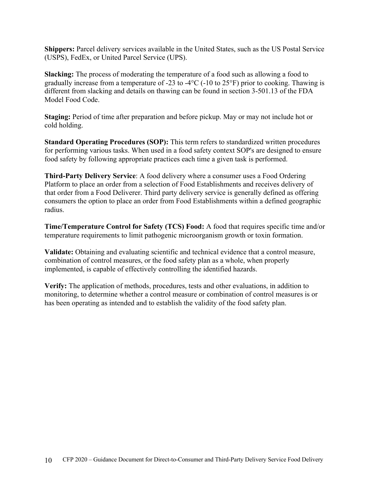**Shippers:** Parcel delivery services available in the United States, such as the US Postal Service (USPS), FedEx, or United Parcel Service (UPS).

**Slacking:** The process of moderating the temperature of a food such as allowing a food to gradually increase from a temperature of -23 to -4°C (-10 to 25°F) prior to cooking. Thawing is different from slacking and details on thawing can be found in section 3-501.13 of the FDA Model Food Code.

**Staging:** Period of time after preparation and before pickup. May or may not include hot or cold holding.

**Standard Operating Procedures (SOP):** This term refers to standardized written procedures for performing various tasks. When used in a food safety context SOP's are designed to ensure food safety by following appropriate practices each time a given task is performed.

**Third-Party Delivery Service**: A food delivery where a consumer uses a Food Ordering Platform to place an order from a selection of Food Establishments and receives delivery of that order from a Food Deliverer. Third party delivery service is generally defined as offering consumers the option to place an order from Food Establishments within a defined geographic radius.

**Time/Temperature Control for Safety (TCS) Food:** A food that requires specific time and/or temperature requirements to limit pathogenic microorganism growth or toxin formation.

**Validate:** Obtaining and evaluating scientific and technical evidence that a control measure, combination of control measures, or the food safety plan as a whole, when properly implemented, is capable of effectively controlling the identified hazards.

**Verify:** The application of methods, procedures, tests and other evaluations, in addition to monitoring, to determine whether a control measure or combination of control measures is or has been operating as intended and to establish the validity of the food safety plan.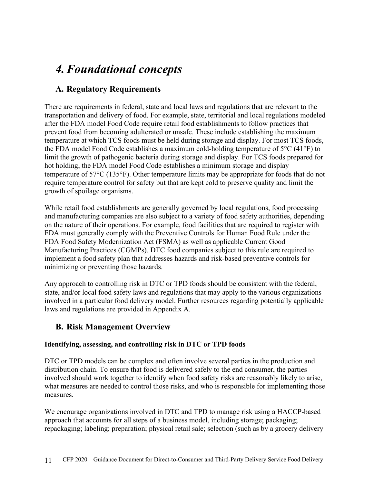# *4.Foundational concepts*

## **A. Regulatory Requirements**

There are requirements in federal, state and local laws and regulations that are relevant to the transportation and delivery of food. For example, state, territorial and local regulations modeled after the FDA model Food Code require retail food establishments to follow practices that prevent food from becoming adulterated or unsafe. These include establishing the maximum temperature at which TCS foods must be held during storage and display. For most TCS foods, the FDA model Food Code establishes a maximum cold-holding temperature of  $5^{\circ}C$  (41 $^{\circ}F$ ) to limit the growth of pathogenic bacteria during storage and display. For TCS foods prepared for hot holding, the FDA model Food Code establishes a minimum storage and display temperature of 57°C (135°F). Other temperature limits may be appropriate for foods that do not require temperature control for safety but that are kept cold to preserve quality and limit the growth of spoilage organisms.

While retail food establishments are generally governed by local regulations, food processing and manufacturing companies are also subject to a variety of food safety authorities, depending on the nature of their operations. For example, food facilities that are required to register with FDA must generally comply with the Preventive Controls for Human Food Rule under the FDA Food Safety Modernization Act (FSMA) as well as applicable Current Good Manufacturing Practices (CGMPs). DTC food companies subject to this rule are required to implement a food safety plan that addresses hazards and risk-based preventive controls for minimizing or preventing those hazards.

Any approach to controlling risk in DTC or TPD foods should be consistent with the federal, state, and/or local food safety laws and regulations that may apply to the various organizations involved in a particular food delivery model. Further resources regarding potentially applicable laws and regulations are provided in Appendix A.

## **B. Risk Management Overview**

## **Identifying, assessing, and controlling risk in DTC or TPD foods**

DTC or TPD models can be complex and often involve several parties in the production and distribution chain. To ensure that food is delivered safely to the end consumer, the parties involved should work together to identify when food safety risks are reasonably likely to arise, what measures are needed to control those risks, and who is responsible for implementing those measures.

We encourage organizations involved in DTC and TPD to manage risk using a HACCP-based approach that accounts for all steps of a business model, including storage; packaging; repackaging; labeling; preparation; physical retail sale; selection (such as by a grocery delivery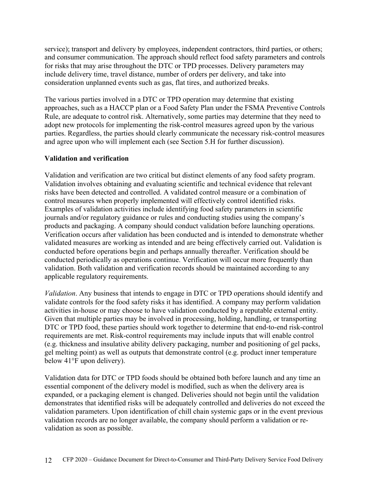service); transport and delivery by employees, independent contractors, third parties, or others; and consumer communication. The approach should reflect food safety parameters and controls for risks that may arise throughout the DTC or TPD processes. Delivery parameters may include delivery time, travel distance, number of orders per delivery, and take into consideration unplanned events such as gas, flat tires, and authorized breaks.

The various parties involved in a DTC or TPD operation may determine that existing approaches, such as a HACCP plan or a Food Safety Plan under the FSMA Preventive Controls Rule, are adequate to control risk. Alternatively, some parties may determine that they need to adopt new protocols for implementing the risk-control measures agreed upon by the various parties. Regardless, the parties should clearly communicate the necessary risk-control measures and agree upon who will implement each (see Section 5.H for further discussion).

### **Validation and verification**

Validation and verification are two critical but distinct elements of any food safety program. Validation involves obtaining and evaluating scientific and technical evidence that relevant risks have been detected and controlled. A validated control measure or a combination of control measures when properly implemented will effectively control identified risks. Examples of validation activities include identifying food safety parameters in scientific journals and/or regulatory guidance or rules and conducting studies using the company's products and packaging. A company should conduct validation before launching operations. Verification occurs after validation has been conducted and is intended to demonstrate whether validated measures are working as intended and are being effectively carried out. Validation is conducted before operations begin and perhaps annually thereafter. Verification should be conducted periodically as operations continue. Verification will occur more frequently than validation. Both validation and verification records should be maintained according to any applicable regulatory requirements.

*Validation*. Any business that intends to engage in DTC or TPD operations should identify and validate controls for the food safety risks it has identified. A company may perform validation activities in-house or may choose to have validation conducted by a reputable external entity. Given that multiple parties may be involved in processing, holding, handling, or transporting DTC or TPD food, these parties should work together to determine that end-to-end risk-control requirements are met. Risk-control requirements may include inputs that will enable control (e.g. thickness and insulative ability delivery packaging, number and positioning of gel packs, gel melting point) as well as outputs that demonstrate control (e.g. product inner temperature below 41°F upon delivery).

Validation data for DTC or TPD foods should be obtained both before launch and any time an essential component of the delivery model is modified, such as when the delivery area is expanded, or a packaging element is changed. Deliveries should not begin until the validation demonstrates that identified risks will be adequately controlled and deliveries do not exceed the validation parameters. Upon identification of chill chain systemic gaps or in the event previous validation records are no longer available, the company should perform a validation or revalidation as soon as possible.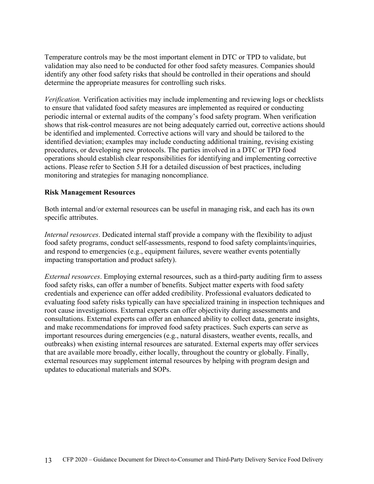Temperature controls may be the most important element in DTC or TPD to validate, but validation may also need to be conducted for other food safety measures. Companies should identify any other food safety risks that should be controlled in their operations and should determine the appropriate measures for controlling such risks.

*Verification.* Verification activities may include implementing and reviewing logs or checklists to ensure that validated food safety measures are implemented as required or conducting periodic internal or external audits of the company's food safety program. When verification shows that risk-control measures are not being adequately carried out, corrective actions should be identified and implemented. Corrective actions will vary and should be tailored to the identified deviation; examples may include conducting additional training, revising existing procedures, or developing new protocols. The parties involved in a DTC or TPD food operations should establish clear responsibilities for identifying and implementing corrective actions. Please refer to Section 5.H for a detailed discussion of best practices, including monitoring and strategies for managing noncompliance.

### **Risk Management Resources**

Both internal and/or external resources can be useful in managing risk, and each has its own specific attributes.

*Internal resources*. Dedicated internal staff provide a company with the flexibility to adjust food safety programs, conduct self-assessments, respond to food safety complaints/inquiries, and respond to emergencies (e.g., equipment failures, severe weather events potentially impacting transportation and product safety).

*External resources*. Employing external resources, such as a third-party auditing firm to assess food safety risks, can offer a number of benefits. Subject matter experts with food safety credentials and experience can offer added credibility. Professional evaluators dedicated to evaluating food safety risks typically can have specialized training in inspection techniques and root cause investigations. External experts can offer objectivity during assessments and consultations. External experts can offer an enhanced ability to collect data, generate insights, and make recommendations for improved food safety practices. Such experts can serve as important resources during emergencies (e.g., natural disasters, weather events, recalls, and outbreaks) when existing internal resources are saturated. External experts may offer services that are available more broadly, either locally, throughout the country or globally. Finally, external resources may supplement internal resources by helping with program design and updates to educational materials and SOPs.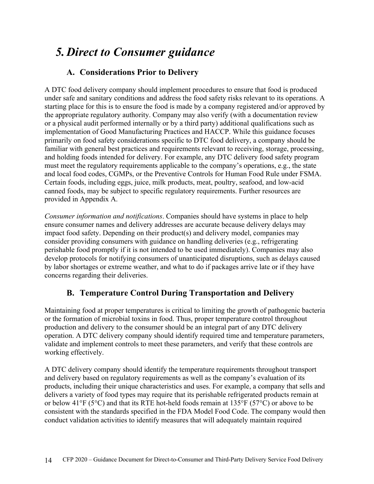# *5. Direct to Consumer guidance*

# **A. Considerations Prior to Delivery**

A DTC food delivery company should implement procedures to ensure that food is produced under safe and sanitary conditions and address the food safety risks relevant to its operations. A starting place for this is to ensure the food is made by a company registered and/or approved by the appropriate regulatory authority. Company may also verify (with a documentation review or a physical audit performed internally or by a third party) additional qualifications such as implementation of Good Manufacturing Practices and HACCP. While this guidance focuses primarily on food safety considerations specific to DTC food delivery, a company should be familiar with general best practices and requirements relevant to receiving, storage, processing, and holding foods intended for delivery. For example, any DTC delivery food safety program must meet the regulatory requirements applicable to the company's operations, e.g., the state and local food codes, CGMPs, or the Preventive Controls for Human Food Rule under FSMA. Certain foods, including eggs, juice, milk products, meat, poultry, seafood, and low-acid canned foods, may be subject to specific regulatory requirements. Further resources are provided in Appendix A.

*Consumer information and notifications*. Companies should have systems in place to help ensure consumer names and delivery addresses are accurate because delivery delays may impact food safety. Depending on their product(s) and delivery model, companies may consider providing consumers with guidance on handling deliveries (e.g., refrigerating perishable food promptly if it is not intended to be used immediately). Companies may also develop protocols for notifying consumers of unanticipated disruptions, such as delays caused by labor shortages or extreme weather, and what to do if packages arrive late or if they have concerns regarding their deliveries.

## **B. Temperature Control During Transportation and Delivery**

Maintaining food at proper temperatures is critical to limiting the growth of pathogenic bacteria or the formation of microbial toxins in food. Thus, proper temperature control throughout production and delivery to the consumer should be an integral part of any DTC delivery operation. A DTC delivery company should identify required time and temperature parameters, validate and implement controls to meet these parameters, and verify that these controls are working effectively.

A DTC delivery company should identify the temperature requirements throughout transport and delivery based on regulatory requirements as well as the company's evaluation of its products, including their unique characteristics and uses. For example, a company that sells and delivers a variety of food types may require that its perishable refrigerated products remain at or below 41°F (5°C) and that its RTE hot-held foods remain at 135°F (57°C) or above to be consistent with the standards specified in the FDA Model Food Code. The company would then conduct validation activities to identify measures that will adequately maintain required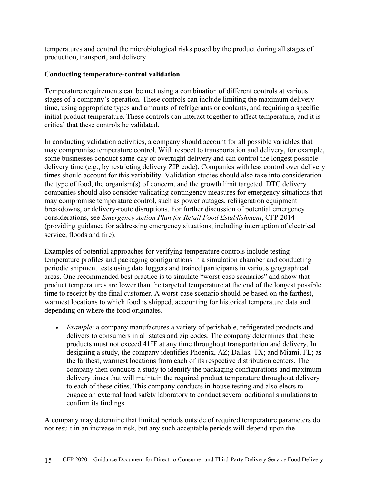temperatures and control the microbiological risks posed by the product during all stages of production, transport, and delivery.

### **Conducting temperature-control validation**

Temperature requirements can be met using a combination of different controls at various stages of a company's operation. These controls can include limiting the maximum delivery time, using appropriate types and amounts of refrigerants or coolants, and requiring a specific initial product temperature. These controls can interact together to affect temperature, and it is critical that these controls be validated.

In conducting validation activities, a company should account for all possible variables that may compromise temperature control. With respect to transportation and delivery, for example, some businesses conduct same-day or overnight delivery and can control the longest possible delivery time (e.g., by restricting delivery ZIP code). Companies with less control over delivery times should account for this variability. Validation studies should also take into consideration the type of food, the organism(s) of concern, and the growth limit targeted. DTC delivery companies should also consider validating contingency measures for emergency situations that may compromise temperature control, such as power outages, refrigeration equipment breakdowns, or delivery-route disruptions. For further discussion of potential emergency considerations, see *Emergency Action Plan for Retail Food Establishment*, CFP 2014 (providing guidance for addressing emergency situations, including interruption of electrical service, floods and fire).

Examples of potential approaches for verifying temperature controls include testing temperature profiles and packaging configurations in a simulation chamber and conducting periodic shipment tests using data loggers and trained participants in various geographical areas. One recommended best practice is to simulate "worst-case scenarios" and show that product temperatures are lower than the targeted temperature at the end of the longest possible time to receipt by the final customer. A worst-case scenario should be based on the farthest, warmest locations to which food is shipped, accounting for historical temperature data and depending on where the food originates.

• *Example*: a company manufactures a variety of perishable, refrigerated products and delivers to consumers in all states and zip codes. The company determines that these products must not exceed 41°F at any time throughout transportation and delivery. In designing a study, the company identifies Phoenix, AZ; Dallas, TX; and Miami, FL; as the farthest, warmest locations from each of its respective distribution centers. The company then conducts a study to identify the packaging configurations and maximum delivery times that will maintain the required product temperature throughout delivery to each of these cities. This company conducts in-house testing and also elects to engage an external food safety laboratory to conduct several additional simulations to confirm its findings.

A company may determine that limited periods outside of required temperature parameters do not result in an increase in risk, but any such acceptable periods will depend upon the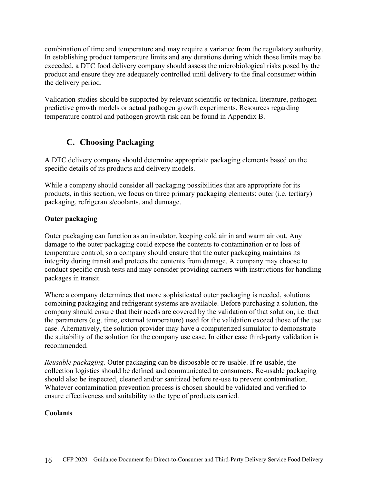combination of time and temperature and may require a variance from the regulatory authority. In establishing product temperature limits and any durations during which those limits may be exceeded, a DTC food delivery company should assess the microbiological risks posed by the product and ensure they are adequately controlled until delivery to the final consumer within the delivery period.

Validation studies should be supported by relevant scientific or technical literature, pathogen predictive growth models or actual pathogen growth experiments. Resources regarding temperature control and pathogen growth risk can be found in Appendix B.

## **C. Choosing Packaging**

A DTC delivery company should determine appropriate packaging elements based on the specific details of its products and delivery models.

While a company should consider all packaging possibilities that are appropriate for its products, in this section, we focus on three primary packaging elements: outer (i.e. tertiary) packaging, refrigerants/coolants, and dunnage.

## **Outer packaging**

Outer packaging can function as an insulator, keeping cold air in and warm air out. Any damage to the outer packaging could expose the contents to contamination or to loss of temperature control, so a company should ensure that the outer packaging maintains its integrity during transit and protects the contents from damage. A company may choose to conduct specific crush tests and may consider providing carriers with instructions for handling packages in transit.

Where a company determines that more sophisticated outer packaging is needed, solutions combining packaging and refrigerant systems are available. Before purchasing a solution, the company should ensure that their needs are covered by the validation of that solution, i.e. that the parameters (e.g. time, external temperature) used for the validation exceed those of the use case. Alternatively, the solution provider may have a computerized simulator to demonstrate the suitability of the solution for the company use case. In either case third-party validation is recommended.

*Reusable packaging.* Outer packaging can be disposable or re-usable. If re-usable, the collection logistics should be defined and communicated to consumers. Re-usable packaging should also be inspected, cleaned and/or sanitized before re-use to prevent contamination. Whatever contamination prevention process is chosen should be validated and verified to ensure effectiveness and suitability to the type of products carried.

### **Coolants**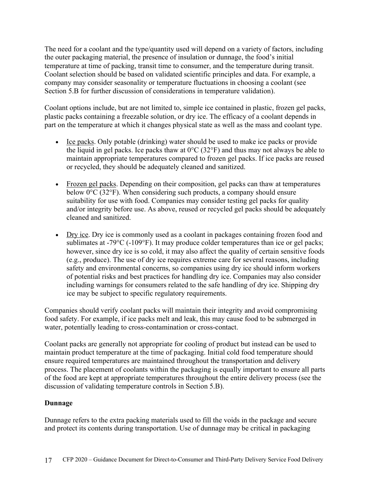The need for a coolant and the type/quantity used will depend on a variety of factors, including the outer packaging material, the presence of insulation or dunnage, the food's initial temperature at time of packing, transit time to consumer, and the temperature during transit. Coolant selection should be based on validated scientific principles and data. For example, a company may consider seasonality or temperature fluctuations in choosing a coolant (see Section 5.B for further discussion of considerations in temperature validation).

Coolant options include, but are not limited to, simple ice contained in plastic, frozen gel packs, plastic packs containing a freezable solution, or dry ice. The efficacy of a coolant depends in part on the temperature at which it changes physical state as well as the mass and coolant type.

- Ice packs. Only potable (drinking) water should be used to make ice packs or provide the liquid in gel packs. Ice packs thaw at  $0^{\circ}$ C (32 $^{\circ}$ F) and thus may not always be able to maintain appropriate temperatures compared to frozen gel packs. If ice packs are reused or recycled, they should be adequately cleaned and sanitized.
- Frozen gel packs. Depending on their composition, gel packs can thaw at temperatures below  $0^{\circ}$ C (32 $^{\circ}$ F). When considering such products, a company should ensure suitability for use with food. Companies may consider testing gel packs for quality and/or integrity before use. As above, reused or recycled gel packs should be adequately cleaned and sanitized.
- Dry ice. Dry ice is commonly used as a coolant in packages containing frozen food and sublimates at -79°C (-109°F). It may produce colder temperatures than ice or gel packs; however, since dry ice is so cold, it may also affect the quality of certain sensitive foods (e.g., produce). The use of dry ice requires extreme care for several reasons, including safety and environmental concerns, so companies using dry ice should inform workers of potential risks and best practices for handling dry ice. Companies may also consider including warnings for consumers related to the safe handling of dry ice. Shipping dry ice may be subject to specific regulatory requirements.

Companies should verify coolant packs will maintain their integrity and avoid compromising food safety. For example, if ice packs melt and leak, this may cause food to be submerged in water, potentially leading to cross-contamination or cross-contact.

Coolant packs are generally not appropriate for cooling of product but instead can be used to maintain product temperature at the time of packaging. Initial cold food temperature should ensure required temperatures are maintained throughout the transportation and delivery process. The placement of coolants within the packaging is equally important to ensure all parts of the food are kept at appropriate temperatures throughout the entire delivery process (see the discussion of validating temperature controls in Section 5.B).

## **Dunnage**

Dunnage refers to the extra packing materials used to fill the voids in the package and secure and protect its contents during transportation. Use of dunnage may be critical in packaging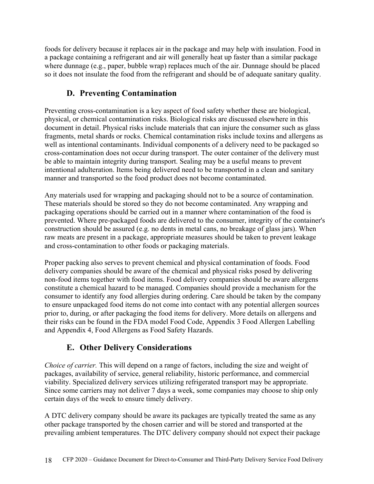foods for delivery because it replaces air in the package and may help with insulation. Food in a package containing a refrigerant and air will generally heat up faster than a similar package where dunnage (e.g., paper, bubble wrap) replaces much of the air. Dunnage should be placed so it does not insulate the food from the refrigerant and should be of adequate sanitary quality.

# **D. Preventing Contamination**

Preventing cross-contamination is a key aspect of food safety whether these are biological, physical, or chemical contamination risks. Biological risks are discussed elsewhere in this document in detail. Physical risks include materials that can injure the consumer such as glass fragments, metal shards or rocks. Chemical contamination risks include toxins and allergens as well as intentional contaminants. Individual components of a delivery need to be packaged so cross-contamination does not occur during transport. The outer container of the delivery must be able to maintain integrity during transport. Sealing may be a useful means to prevent intentional adulteration. Items being delivered need to be transported in a clean and sanitary manner and transported so the food product does not become contaminated.

Any materials used for wrapping and packaging should not to be a source of contamination. These materials should be stored so they do not become contaminated. Any wrapping and packaging operations should be carried out in a manner where contamination of the food is prevented. Where pre-packaged foods are delivered to the consumer, integrity of the container's construction should be assured (e.g. no dents in metal cans, no breakage of glass jars). When raw meats are present in a package, appropriate measures should be taken to prevent leakage and cross-contamination to other foods or packaging materials.

Proper packing also serves to prevent chemical and physical contamination of foods. Food delivery companies should be aware of the chemical and physical risks posed by delivering non-food items together with food items. Food delivery companies should be aware allergens constitute a chemical hazard to be managed. Companies should provide a mechanism for the consumer to identify any food allergies during ordering. Care should be taken by the company to ensure unpackaged food items do not come into contact with any potential allergen sources prior to, during, or after packaging the food items for delivery. More details on allergens and their risks can be found in the FDA model Food Code, Appendix 3 Food Allergen Labelling and Appendix 4, Food Allergens as Food Safety Hazards.

## **E. Other Delivery Considerations**

*Choice of carrier.* This will depend on a range of factors, including the size and weight of packages, availability of service, general reliability, historic performance, and commercial viability. Specialized delivery services utilizing refrigerated transport may be appropriate. Since some carriers may not deliver 7 days a week, some companies may choose to ship only certain days of the week to ensure timely delivery.

A DTC delivery company should be aware its packages are typically treated the same as any other package transported by the chosen carrier and will be stored and transported at the prevailing ambient temperatures. The DTC delivery company should not expect their package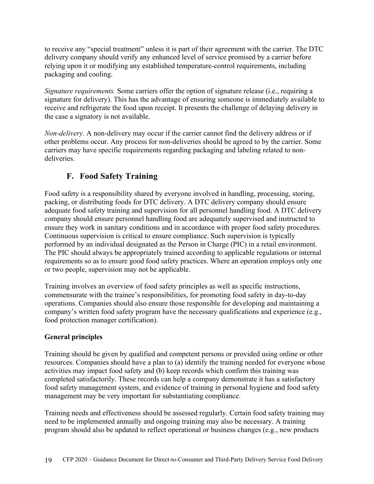to receive any "special treatment" unless it is part of their agreement with the carrier. The DTC delivery company should verify any enhanced level of service promised by a carrier before relying upon it or modifying any established temperature-control requirements, including packaging and cooling.

*Signature requirements.* Some carriers offer the option of signature release (i.e., requiring a signature for delivery). This has the advantage of ensuring someone is immediately available to receive and refrigerate the food upon receipt. It presents the challenge of delaying delivery in the case a signatory is not available.

*Non-delivery.* A non-delivery may occur if the carrier cannot find the delivery address or if other problems occur. Any process for non-deliveries should be agreed to by the carrier. Some carriers may have specific requirements regarding packaging and labeling related to nondeliveries.

## **F. Food Safety Training**

Food safety is a responsibility shared by everyone involved in handling, processing, storing, packing, or distributing foods for DTC delivery. A DTC delivery company should ensure adequate food safety training and supervision for all personnel handling food. A DTC delivery company should ensure personnel handling food are adequately supervised and instructed to ensure they work in sanitary conditions and in accordance with proper food safety procedures. Continuous supervision is critical to ensure compliance. Such supervision is typically performed by an individual designated as the Person in Charge (PIC) in a retail environment. The PIC should always be appropriately trained according to applicable regulations or internal requirements so as to ensure good food safety practices. Where an operation employs only one or two people, supervision may not be applicable.

Training involves an overview of food safety principles as well as specific instructions, commensurate with the trainee's responsibilities, for promoting food safety in day-to-day operations. Companies should also ensure those responsible for developing and maintaining a company's written food safety program have the necessary qualifications and experience (e.g., food protection manager certification).

## **General principles**

Training should be given by qualified and competent persons or provided using online or other resources. Companies should have a plan to (a) identify the training needed for everyone whose activities may impact food safety and (b) keep records which confirm this training was completed satisfactorily. These records can help a company demonstrate it has a satisfactory food safety management system, and evidence of training in personal hygiene and food safety management may be very important for substantiating compliance.

Training needs and effectiveness should be assessed regularly. Certain food safety training may need to be implemented annually and ongoing training may also be necessary. A training program should also be updated to reflect operational or business changes (e.g., new products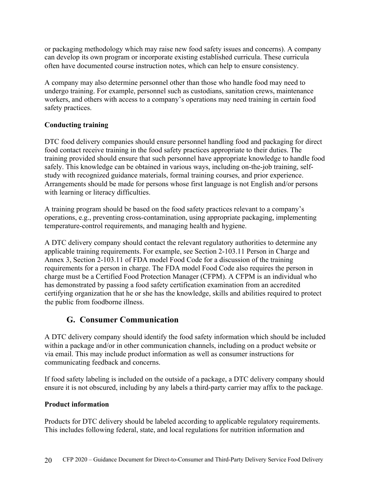or packaging methodology which may raise new food safety issues and concerns). A company can develop its own program or incorporate existing established curricula. These curricula often have documented course instruction notes, which can help to ensure consistency.

A company may also determine personnel other than those who handle food may need to undergo training. For example, personnel such as custodians, sanitation crews, maintenance workers, and others with access to a company's operations may need training in certain food safety practices.

## **Conducting training**

DTC food delivery companies should ensure personnel handling food and packaging for direct food contact receive training in the food safety practices appropriate to their duties. The training provided should ensure that such personnel have appropriate knowledge to handle food safely. This knowledge can be obtained in various ways, including on-the-job training, selfstudy with recognized guidance materials, formal training courses, and prior experience. Arrangements should be made for persons whose first language is not English and/or persons with learning or literacy difficulties.

A training program should be based on the food safety practices relevant to a company's operations, e.g., preventing cross-contamination, using appropriate packaging, implementing temperature-control requirements, and managing health and hygiene.

A DTC delivery company should contact the relevant regulatory authorities to determine any applicable training requirements. For example, see Section 2-103.11 Person in Charge and Annex 3, Section 2-103.11 of FDA model Food Code for a discussion of the training requirements for a person in charge. The FDA model Food Code also requires the person in charge must be a Certified Food Protection Manager (CFPM). A CFPM is an individual who has demonstrated by passing a food safety certification examination from an accredited certifying organization that he or she has the knowledge, skills and abilities required to protect the public from foodborne illness.

## **G. Consumer Communication**

A DTC delivery company should identify the food safety information which should be included within a package and/or in other communication channels, including on a product website or via email. This may include product information as well as consumer instructions for communicating feedback and concerns.

If food safety labeling is included on the outside of a package, a DTC delivery company should ensure it is not obscured, including by any labels a third-party carrier may affix to the package.

## **Product information**

Products for DTC delivery should be labeled according to applicable regulatory requirements. This includes following federal, state, and local regulations for nutrition information and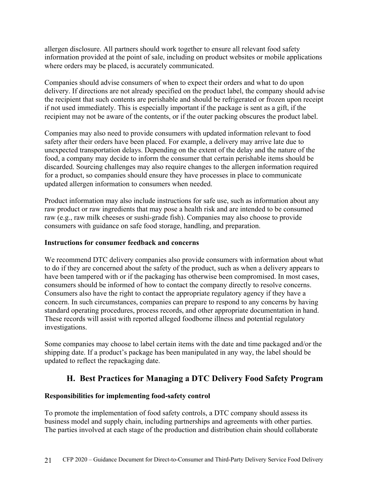allergen disclosure. All partners should work together to ensure all relevant food safety information provided at the point of sale, including on product websites or mobile applications where orders may be placed, is accurately communicated.

Companies should advise consumers of when to expect their orders and what to do upon delivery. If directions are not already specified on the product label, the company should advise the recipient that such contents are perishable and should be refrigerated or frozen upon receipt if not used immediately. This is especially important if the package is sent as a gift, if the recipient may not be aware of the contents, or if the outer packing obscures the product label.

Companies may also need to provide consumers with updated information relevant to food safety after their orders have been placed. For example, a delivery may arrive late due to unexpected transportation delays. Depending on the extent of the delay and the nature of the food, a company may decide to inform the consumer that certain perishable items should be discarded. Sourcing challenges may also require changes to the allergen information required for a product, so companies should ensure they have processes in place to communicate updated allergen information to consumers when needed.

Product information may also include instructions for safe use, such as information about any raw product or raw ingredients that may pose a health risk and are intended to be consumed raw (e.g., raw milk cheeses or sushi-grade fish). Companies may also choose to provide consumers with guidance on safe food storage, handling, and preparation.

## **Instructions for consumer feedback and concerns**

We recommend DTC delivery companies also provide consumers with information about what to do if they are concerned about the safety of the product, such as when a delivery appears to have been tampered with or if the packaging has otherwise been compromised. In most cases, consumers should be informed of how to contact the company directly to resolve concerns. Consumers also have the right to contact the appropriate regulatory agency if they have a concern. In such circumstances, companies can prepare to respond to any concerns by having standard operating procedures, process records, and other appropriate documentation in hand. These records will assist with reported alleged foodborne illness and potential regulatory investigations.

Some companies may choose to label certain items with the date and time packaged and/or the shipping date. If a product's package has been manipulated in any way, the label should be updated to reflect the repackaging date.

## **H. Best Practices for Managing a DTC Delivery Food Safety Program**

## **Responsibilities for implementing food-safety control**

To promote the implementation of food safety controls, a DTC company should assess its business model and supply chain, including partnerships and agreements with other parties. The parties involved at each stage of the production and distribution chain should collaborate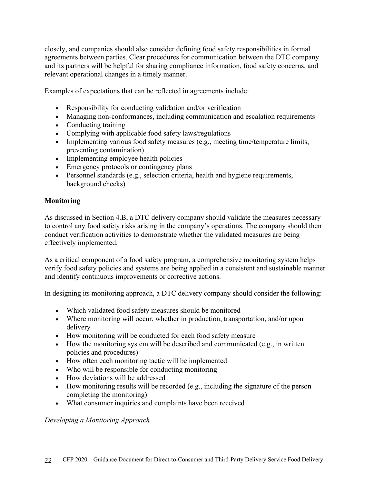closely, and companies should also consider defining food safety responsibilities in formal agreements between parties. Clear procedures for communication between the DTC company and its partners will be helpful for sharing compliance information, food safety concerns, and relevant operational changes in a timely manner.

Examples of expectations that can be reflected in agreements include:

- Responsibility for conducting validation and/or verification
- Managing non-conformances, including communication and escalation requirements
- Conducting training
- Complying with applicable food safety laws/regulations
- Implementing various food safety measures (e.g., meeting time/temperature limits, preventing contamination)
- Implementing employee health policies
- Emergency protocols or contingency plans
- Personnel standards (e.g., selection criteria, health and hygiene requirements, background checks)

## **Monitoring**

As discussed in Section 4.B, a DTC delivery company should validate the measures necessary to control any food safety risks arising in the company's operations. The company should then conduct verification activities to demonstrate whether the validated measures are being effectively implemented.

As a critical component of a food safety program, a comprehensive monitoring system helps verify food safety policies and systems are being applied in a consistent and sustainable manner and identify continuous improvements or corrective actions.

In designing its monitoring approach, a DTC delivery company should consider the following:

- Which validated food safety measures should be monitored
- Where monitoring will occur, whether in production, transportation, and/or upon delivery
- How monitoring will be conducted for each food safety measure
- How the monitoring system will be described and communicated (e.g., in written policies and procedures)
- How often each monitoring tactic will be implemented
- Who will be responsible for conducting monitoring
- How deviations will be addressed
- How monitoring results will be recorded (e.g., including the signature of the person completing the monitoring)
- What consumer inquiries and complaints have been received

*Developing a Monitoring Approach*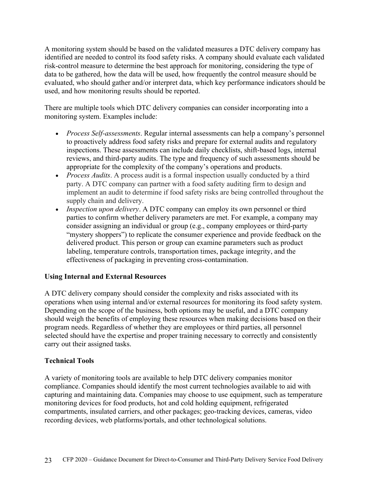A monitoring system should be based on the validated measures a DTC delivery company has identified are needed to control its food safety risks. A company should evaluate each validated risk-control measure to determine the best approach for monitoring, considering the type of data to be gathered, how the data will be used, how frequently the control measure should be evaluated, who should gather and/or interpret data, which key performance indicators should be used, and how monitoring results should be reported.

There are multiple tools which DTC delivery companies can consider incorporating into a monitoring system. Examples include:

- *Process Self-assessments*. Regular internal assessments can help a company's personnel to proactively address food safety risks and prepare for external audits and regulatory inspections. These assessments can include daily checklists, shift-based logs, internal reviews, and third-party audits. The type and frequency of such assessments should be appropriate for the complexity of the company's operations and products.
- *Process Audits*. A process audit is a formal inspection usually conducted by a third party. A DTC company can partner with a food safety auditing firm to design and implement an audit to determine if food safety risks are being controlled throughout the supply chain and delivery.
- *Inspection upon delivery*. A DTC company can employ its own personnel or third parties to confirm whether delivery parameters are met. For example, a company may consider assigning an individual or group (e.g., company employees or third-party "mystery shoppers") to replicate the consumer experience and provide feedback on the delivered product. This person or group can examine parameters such as product labeling, temperature controls, transportation times, package integrity, and the effectiveness of packaging in preventing cross-contamination.

## **Using Internal and External Resources**

A DTC delivery company should consider the complexity and risks associated with its operations when using internal and/or external resources for monitoring its food safety system. Depending on the scope of the business, both options may be useful, and a DTC company should weigh the benefits of employing these resources when making decisions based on their program needs. Regardless of whether they are employees or third parties, all personnel selected should have the expertise and proper training necessary to correctly and consistently carry out their assigned tasks.

## **Technical Tools**

A variety of monitoring tools are available to help DTC delivery companies monitor compliance. Companies should identify the most current technologies available to aid with capturing and maintaining data. Companies may choose to use equipment, such as temperature monitoring devices for food products, hot and cold holding equipment, refrigerated compartments, insulated carriers, and other packages; geo-tracking devices, cameras, video recording devices, web platforms/portals, and other technological solutions.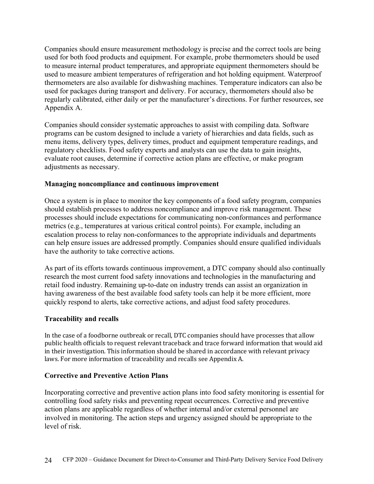Companies should ensure measurement methodology is precise and the correct tools are being used for both food products and equipment. For example, probe thermometers should be used to measure internal product temperatures, and appropriate equipment thermometers should be used to measure ambient temperatures of refrigeration and hot holding equipment. Waterproof thermometers are also available for dishwashing machines. Temperature indicators can also be used for packages during transport and delivery. For accuracy, thermometers should also be regularly calibrated, either daily or per the manufacturer's directions. For further resources, see Appendix A.

Companies should consider systematic approaches to assist with compiling data. Software programs can be custom designed to include a variety of hierarchies and data fields, such as menu items, delivery types, delivery times, product and equipment temperature readings, and regulatory checklists. Food safety experts and analysts can use the data to gain insights, evaluate root causes, determine if corrective action plans are effective, or make program adjustments as necessary.

### **Managing noncompliance and continuous improvement**

Once a system is in place to monitor the key components of a food safety program, companies should establish processes to address noncompliance and improve risk management. These processes should include expectations for communicating non-conformances and performance metrics (e.g., temperatures at various critical control points). For example, including an escalation process to relay non-conformances to the appropriate individuals and departments can help ensure issues are addressed promptly. Companies should ensure qualified individuals have the authority to take corrective actions.

As part of its efforts towards continuous improvement, a DTC company should also continually research the most current food safety innovations and technologies in the manufacturing and retail food industry. Remaining up-to-date on industry trends can assist an organization in having awareness of the best available food safety tools can help it be more efficient, more quickly respond to alerts, take corrective actions, and adjust food safety procedures.

### **Traceability and recalls**

In the case of a foodborne outbreak or recall, DTC companies should have processes that allow public health officials to request relevant traceback and trace forward information that would aid in their investigation. This information should be shared in accordance with relevant privacy laws. For more information of traceability and recalls see Appendix A.

### **Corrective and Preventive Action Plans**

Incorporating corrective and preventive action plans into food safety monitoring is essential for controlling food safety risks and preventing repeat occurrences. Corrective and preventive action plans are applicable regardless of whether internal and/or external personnel are involved in monitoring. The action steps and urgency assigned should be appropriate to the level of risk.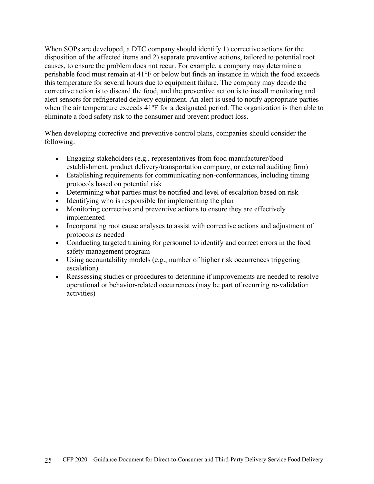When SOPs are developed, a DTC company should identify 1) corrective actions for the disposition of the affected items and 2) separate preventive actions, tailored to potential root causes, to ensure the problem does not recur. For example, a company may determine a perishable food must remain at 41°F or below but finds an instance in which the food exceeds this temperature for several hours due to equipment failure. The company may decide the corrective action is to discard the food, and the preventive action is to install monitoring and alert sensors for refrigerated delivery equipment. An alert is used to notify appropriate parties when the air temperature exceeds 41°F for a designated period. The organization is then able to eliminate a food safety risk to the consumer and prevent product loss.

When developing corrective and preventive control plans, companies should consider the following:

- Engaging stakeholders (e.g., representatives from food manufacturer/food establishment, product delivery/transportation company, or external auditing firm)
- Establishing requirements for communicating non-conformances, including timing protocols based on potential risk
- Determining what parties must be notified and level of escalation based on risk
- Identifying who is responsible for implementing the plan
- Monitoring corrective and preventive actions to ensure they are effectively implemented
- Incorporating root cause analyses to assist with corrective actions and adjustment of protocols as needed
- Conducting targeted training for personnel to identify and correct errors in the food safety management program
- Using accountability models (e.g., number of higher risk occurrences triggering escalation)
- Reassessing studies or procedures to determine if improvements are needed to resolve operational or behavior-related occurrences (may be part of recurring re-validation activities)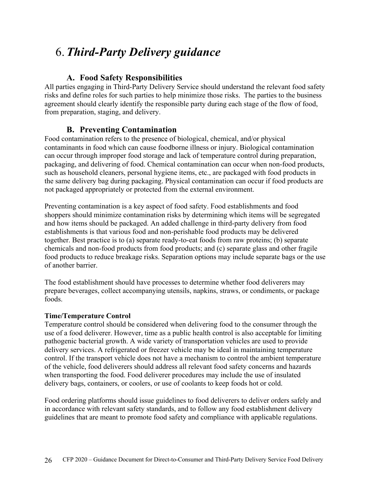# 6.*Third-Party Delivery guidance*

## **A. Food Safety Responsibilities**

All parties engaging in Third-Party Delivery Service should understand the relevant food safety risks and define roles for such parties to help minimize those risks. The parties to the business agreement should clearly identify the responsible party during each stage of the flow of food, from preparation, staging, and delivery.

## **B. Preventing Contamination**

Food contamination refers to the presence of biological, chemical, and/or physical contaminants in food which can cause foodborne illness or injury. Biological contamination can occur through improper food storage and lack of temperature control during preparation, packaging, and delivering of food. Chemical contamination can occur when non-food products, such as household cleaners, personal hygiene items, etc., are packaged with food products in the same delivery bag during packaging. Physical contamination can occur if food products are not packaged appropriately or protected from the external environment.

Preventing contamination is a key aspect of food safety. Food establishments and food shoppers should minimize contamination risks by determining which items will be segregated and how items should be packaged. An added challenge in third-party delivery from food establishments is that various food and non-perishable food products may be delivered together. Best practice is to (a) separate ready-to-eat foods from raw proteins; (b) separate chemicals and non-food products from food products; and (c) separate glass and other fragile food products to reduce breakage risks. Separation options may include separate bags or the use of another barrier.

The food establishment should have processes to determine whether food deliverers may prepare beverages, collect accompanying utensils, napkins, straws, or condiments, or package foods.

### **Time/Temperature Control**

Temperature control should be considered when delivering food to the consumer through the use of a food deliverer. However, time as a public health control is also acceptable for limiting pathogenic bacterial growth. A wide variety of transportation vehicles are used to provide delivery services. A refrigerated or freezer vehicle may be ideal in maintaining temperature control. If the transport vehicle does not have a mechanism to control the ambient temperature of the vehicle, food deliverers should address all relevant food safety concerns and hazards when transporting the food. Food deliverer procedures may include the use of insulated delivery bags, containers, or coolers, or use of coolants to keep foods hot or cold.

Food ordering platforms should issue guidelines to food deliverers to deliver orders safely and in accordance with relevant safety standards, and to follow any food establishment delivery guidelines that are meant to promote food safety and compliance with applicable regulations.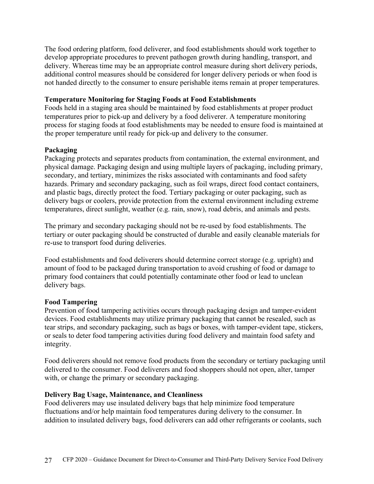The food ordering platform, food deliverer, and food establishments should work together to develop appropriate procedures to prevent pathogen growth during handling, transport, and delivery. Whereas time may be an appropriate control measure during short delivery periods, additional control measures should be considered for longer delivery periods or when food is not handed directly to the consumer to ensure perishable items remain at proper temperatures.

#### **Temperature Monitoring for Staging Foods at Food Establishments**

Foods held in a staging area should be maintained by food establishments at proper product temperatures prior to pick-up and delivery by a food deliverer. A temperature monitoring process for staging foods at food establishments may be needed to ensure food is maintained at the proper temperature until ready for pick-up and delivery to the consumer.

### **Packaging**

Packaging protects and separates products from contamination, the external environment, and physical damage. Packaging design and using multiple layers of packaging, including primary, secondary, and tertiary, minimizes the risks associated with contaminants and food safety hazards. Primary and secondary packaging, such as foil wraps, direct food contact containers, and plastic bags, directly protect the food. Tertiary packaging or outer packaging, such as delivery bags or coolers, provide protection from the external environment including extreme temperatures, direct sunlight, weather (e.g. rain, snow), road debris, and animals and pests.

The primary and secondary packaging should not be re-used by food establishments. The tertiary or outer packaging should be constructed of durable and easily cleanable materials for re-use to transport food during deliveries.

Food establishments and food deliverers should determine correct storage (e.g. upright) and amount of food to be packaged during transportation to avoid crushing of food or damage to primary food containers that could potentially contaminate other food or lead to unclean delivery bags.

### **Food Tampering**

Prevention of food tampering activities occurs through packaging design and tamper-evident devices. Food establishments may utilize primary packaging that cannot be resealed, such as tear strips, and secondary packaging, such as bags or boxes, with tamper-evident tape, stickers, or seals to deter food tampering activities during food delivery and maintain food safety and integrity.

Food deliverers should not remove food products from the secondary or tertiary packaging until delivered to the consumer. Food deliverers and food shoppers should not open, alter, tamper with, or change the primary or secondary packaging.

### **Delivery Bag Usage, Maintenance, and Cleanliness**

Food deliverers may use insulated delivery bags that help minimize food temperature fluctuations and/or help maintain food temperatures during delivery to the consumer. In addition to insulated delivery bags, food deliverers can add other refrigerants or coolants, such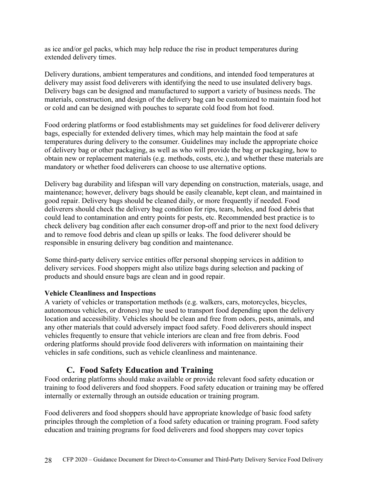as ice and/or gel packs, which may help reduce the rise in product temperatures during extended delivery times.

Delivery durations, ambient temperatures and conditions, and intended food temperatures at delivery may assist food deliverers with identifying the need to use insulated delivery bags. Delivery bags can be designed and manufactured to support a variety of business needs. The materials, construction, and design of the delivery bag can be customized to maintain food hot or cold and can be designed with pouches to separate cold food from hot food.

Food ordering platforms or food establishments may set guidelines for food deliverer delivery bags, especially for extended delivery times, which may help maintain the food at safe temperatures during delivery to the consumer. Guidelines may include the appropriate choice of delivery bag or other packaging, as well as who will provide the bag or packaging, how to obtain new or replacement materials (e.g. methods, costs, etc.), and whether these materials are mandatory or whether food deliverers can choose to use alternative options.

Delivery bag durability and lifespan will vary depending on construction, materials, usage, and maintenance; however, delivery bags should be easily cleanable, kept clean, and maintained in good repair. Delivery bags should be cleaned daily, or more frequently if needed. Food deliverers should check the delivery bag condition for rips, tears, holes, and food debris that could lead to contamination and entry points for pests, etc. Recommended best practice is to check delivery bag condition after each consumer drop-off and prior to the next food delivery and to remove food debris and clean up spills or leaks. The food deliverer should be responsible in ensuring delivery bag condition and maintenance.

Some third-party delivery service entities offer personal shopping services in addition to delivery services. Food shoppers might also utilize bags during selection and packing of products and should ensure bags are clean and in good repair.

### **Vehicle Cleanliness and Inspections**

A variety of vehicles or transportation methods (e.g. walkers, cars, motorcycles, bicycles, autonomous vehicles, or drones) may be used to transport food depending upon the delivery location and accessibility. Vehicles should be clean and free from odors, pests, animals, and any other materials that could adversely impact food safety. Food deliverers should inspect vehicles frequently to ensure that vehicle interiors are clean and free from debris. Food ordering platforms should provide food deliverers with information on maintaining their vehicles in safe conditions, such as vehicle cleanliness and maintenance.

## **C. Food Safety Education and Training**

Food ordering platforms should make available or provide relevant food safety education or training to food deliverers and food shoppers. Food safety education or training may be offered internally or externally through an outside education or training program.

Food deliverers and food shoppers should have appropriate knowledge of basic food safety principles through the completion of a food safety education or training program. Food safety education and training programs for food deliverers and food shoppers may cover topics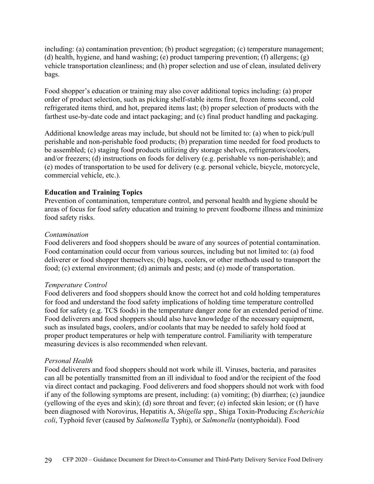including: (a) contamination prevention; (b) product segregation; (c) temperature management; (d) health, hygiene, and hand washing; (e) product tampering prevention; (f) allergens; (g) vehicle transportation cleanliness; and (h) proper selection and use of clean, insulated delivery bags.

Food shopper's education or training may also cover additional topics including: (a) proper order of product selection, such as picking shelf-stable items first, frozen items second, cold refrigerated items third, and hot, prepared items last; (b) proper selection of products with the farthest use-by-date code and intact packaging; and (c) final product handling and packaging.

Additional knowledge areas may include, but should not be limited to: (a) when to pick/pull perishable and non-perishable food products; (b) preparation time needed for food products to be assembled; (c) staging food products utilizing dry storage shelves, refrigerators/coolers, and/or freezers; (d) instructions on foods for delivery (e.g. perishable vs non-perishable); and (e) modes of transportation to be used for delivery (e.g. personal vehicle, bicycle, motorcycle, commercial vehicle, etc.).

#### **Education and Training Topics**

Prevention of contamination, temperature control, and personal health and hygiene should be areas of focus for food safety education and training to prevent foodborne illness and minimize food safety risks.

#### *Contamination*

Food deliverers and food shoppers should be aware of any sources of potential contamination. Food contamination could occur from various sources, including but not limited to: (a) food deliverer or food shopper themselves; (b) bags, coolers, or other methods used to transport the food; (c) external environment; (d) animals and pests; and (e) mode of transportation.

#### *Temperature Control*

Food deliverers and food shoppers should know the correct hot and cold holding temperatures for food and understand the food safety implications of holding time temperature controlled food for safety (e.g. TCS foods) in the temperature danger zone for an extended period of time. Food deliverers and food shoppers should also have knowledge of the necessary equipment, such as insulated bags, coolers, and/or coolants that may be needed to safely hold food at proper product temperatures or help with temperature control. Familiarity with temperature measuring devices is also recommended when relevant.

#### *Personal Health*

Food deliverers and food shoppers should not work while ill. Viruses, bacteria, and parasites can all be potentially transmitted from an ill individual to food and/or the recipient of the food via direct contact and packaging. Food deliverers and food shoppers should not work with food if any of the following symptoms are present, including: (a) vomiting; (b) diarrhea; (c) jaundice (yellowing of the eyes and skin); (d) sore throat and fever; (e) infected skin lesion; or (f) have been diagnosed with Norovirus, Hepatitis A, *Shigella* spp., Shiga Toxin-Producing *Escherichia coli*, Typhoid fever (caused by *Salmonella* Typhi), or *Salmonella* (nontyphoidal). Food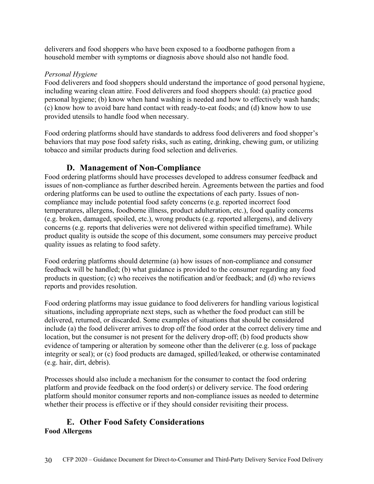deliverers and food shoppers who have been exposed to a foodborne pathogen from a household member with symptoms or diagnosis above should also not handle food.

## *Personal Hygiene*

Food deliverers and food shoppers should understand the importance of good personal hygiene, including wearing clean attire. Food deliverers and food shoppers should: (a) practice good personal hygiene; (b) know when hand washing is needed and how to effectively wash hands; (c) know how to avoid bare hand contact with ready-to-eat foods; and (d) know how to use provided utensils to handle food when necessary.

Food ordering platforms should have standards to address food deliverers and food shopper's behaviors that may pose food safety risks, such as eating, drinking, chewing gum, or utilizing tobacco and similar products during food selection and deliveries.

## **D. Management of Non-Compliance**

Food ordering platforms should have processes developed to address consumer feedback and issues of non-compliance as further described herein. Agreements between the parties and food ordering platforms can be used to outline the expectations of each party. Issues of noncompliance may include potential food safety concerns (e.g. reported incorrect food temperatures, allergens, foodborne illness, product adulteration, etc.), food quality concerns (e.g. broken, damaged, spoiled, etc.), wrong products (e.g. reported allergens), and delivery concerns (e.g. reports that deliveries were not delivered within specified timeframe). While product quality is outside the scope of this document, some consumers may perceive product quality issues as relating to food safety.

Food ordering platforms should determine (a) how issues of non-compliance and consumer feedback will be handled; (b) what guidance is provided to the consumer regarding any food products in question; (c) who receives the notification and/or feedback; and (d) who reviews reports and provides resolution.

Food ordering platforms may issue guidance to food deliverers for handling various logistical situations, including appropriate next steps, such as whether the food product can still be delivered, returned, or discarded. Some examples of situations that should be considered include (a) the food deliverer arrives to drop off the food order at the correct delivery time and location, but the consumer is not present for the delivery drop-off; (b) food products show evidence of tampering or alteration by someone other than the deliverer (e.g. loss of package integrity or seal); or (c) food products are damaged, spilled/leaked, or otherwise contaminated (e.g. hair, dirt, debris).

Processes should also include a mechanism for the consumer to contact the food ordering platform and provide feedback on the food order(s) or delivery service. The food ordering platform should monitor consumer reports and non-compliance issues as needed to determine whether their process is effective or if they should consider revisiting their process.

### **E. Other Food Safety Considerations Food Allergens**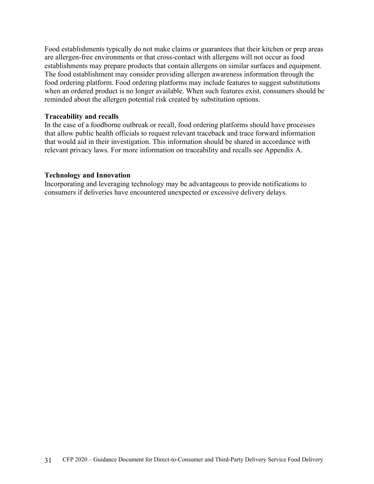Food establishments typically do not make claims or guarantees that their kitchen or prep areas are allergen-free environments or that cross-contact with allergens will not occur as food establishments may prepare products that contain allergens on similar surfaces and equipment. The food establishment may consider providing allergen awareness information through the food ordering platform. Food ordering platforms may include features to suggest substitutions when an ordered product is no longer available. When such features exist, consumers should be reminded about the allergen potential risk created by substitution options.

#### **Traceability and recalls**

In the case of a foodborne outbreak or recall, food ordering platforms should have processes that allow public health officials to request relevant traceback and trace forward information that would aid in their investigation. This information should be shared in accordance with relevant privacy laws. For more information on traceability and recalls see Appendix A.

#### **Technology and Innovation**

Incorporating and leveraging technology may be advantageous to provide notifications to consumers if deliveries have encountered unexpected or excessive delivery delays.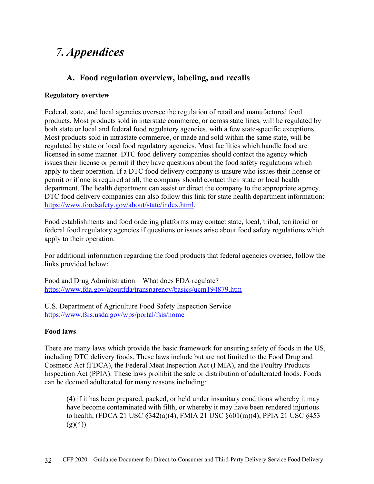# *7.Appendices*

# **A. Food regulation overview, labeling, and recalls**

## **Regulatory overview**

Federal, state, and local agencies oversee the regulation of retail and manufactured food products. Most products sold in interstate commerce, or across state lines, will be regulated by both state or local and federal food regulatory agencies, with a few state-specific exceptions. Most products sold in intrastate commerce, or made and sold within the same state, will be regulated by state or local food regulatory agencies. Most facilities which handle food are licensed in some manner. DTC food delivery companies should contact the agency which issues their license or permit if they have questions about the food safety regulations which apply to their operation. If a DTC food delivery company is unsure who issues their license or permit or if one is required at all, the company should contact their state or local health department. The health department can assist or direct the company to the appropriate agency. DTC food delivery companies can also follow this link for state health department information: https://www.foodsafety.gov/about/state/index.html.

Food establishments and food ordering platforms may contact state, local, tribal, territorial or federal food regulatory agencies if questions or issues arise about food safety regulations which apply to their operation.

For additional information regarding the food products that federal agencies oversee, follow the links provided below:

Food and Drug Administration – What does FDA regulate? https://www.fda.gov/aboutfda/transparency/basics/ucm194879.htm

U.S. Department of Agriculture Food Safety Inspection Service https://www.fsis.usda.gov/wps/portal/fsis/home

## **Food laws**

There are many laws which provide the basic framework for ensuring safety of foods in the US, including DTC delivery foods. These laws include but are not limited to the Food Drug and Cosmetic Act (FDCA), the Federal Meat Inspection Act (FMIA), and the Poultry Products Inspection Act (PPIA). These laws prohibit the sale or distribution of adulterated foods. Foods can be deemed adulterated for many reasons including:

(4) if it has been prepared, packed, or held under insanitary conditions whereby it may have become contaminated with filth, or whereby it may have been rendered injurious to health; (FDCA 21 USC §342(a)(4), FMIA 21 USC §601(m)(4), PPIA 21 USC §453  $(g)(4)$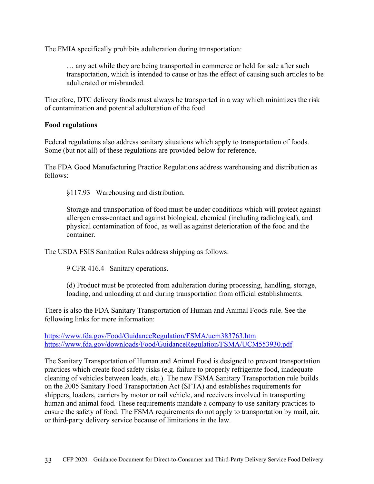The FMIA specifically prohibits adulteration during transportation:

… any act while they are being transported in commerce or held for sale after such transportation, which is intended to cause or has the effect of causing such articles to be adulterated or misbranded.

Therefore, DTC delivery foods must always be transported in a way which minimizes the risk of contamination and potential adulteration of the food.

#### **Food regulations**

Federal regulations also address sanitary situations which apply to transportation of foods. Some (but not all) of these regulations are provided below for reference.

The FDA Good Manufacturing Practice Regulations address warehousing and distribution as follows:

§117.93 Warehousing and distribution.

Storage and transportation of food must be under conditions which will protect against allergen cross-contact and against biological, chemical (including radiological), and physical contamination of food, as well as against deterioration of the food and the container.

The USDA FSIS Sanitation Rules address shipping as follows:

9 CFR 416.4 Sanitary operations.

(d) Product must be protected from adulteration during processing, handling, storage, loading, and unloading at and during transportation from official establishments.

There is also the FDA Sanitary Transportation of Human and Animal Foods rule. See the following links for more information:

https://www.fda.gov/Food/GuidanceRegulation/FSMA/ucm383763.htm https://www.fda.gov/downloads/Food/GuidanceRegulation/FSMA/UCM553930.pdf

The Sanitary Transportation of Human and Animal Food is designed to prevent transportation practices which create food safety risks (e.g. failure to properly refrigerate food, inadequate cleaning of vehicles between loads, etc.). The new FSMA Sanitary Transportation rule builds on the 2005 Sanitary Food Transportation Act (SFTA) and establishes requirements for shippers, loaders, carriers by motor or rail vehicle, and receivers involved in transporting human and animal food. These requirements mandate a company to use sanitary practices to ensure the safety of food. The FSMA requirements do not apply to transportation by mail, air, or third-party delivery service because of limitations in the law.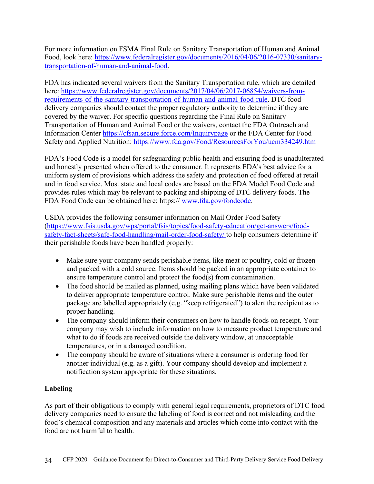For more information on FSMA Final Rule on Sanitary Transportation of Human and Animal Food, look here: https://www.federalregister.gov/documents/2016/04/06/2016-07330/sanitarytransportation-of-human-and-animal-food.

FDA has indicated several waivers from the Sanitary Transportation rule, which are detailed here: https://www.federalregister.gov/documents/2017/04/06/2017-06854/waivers-fromrequirements-of-the-sanitary-transportation-of-human-and-animal-food-rule. DTC food delivery companies should contact the proper regulatory authority to determine if they are covered by the waiver. For specific questions regarding the Final Rule on Sanitary Transportation of Human and Animal Food or the waivers, contact the FDA Outreach and Information Center https://cfsan.secure.force.com/Inquirypage or the FDA Center for Food Safety and Applied Nutrition: https://www.fda.gov/Food/ResourcesForYou/ucm334249.htm

FDA's Food Code is a model for safeguarding public health and ensuring food is unadulterated and honestly presented when offered to the consumer. It represents FDA's best advice for a uniform system of provisions which address the safety and protection of food offered at retail and in food service. Most state and local codes are based on the FDA Model Food Code and provides rules which may be relevant to packing and shipping of DTC delivery foods. The FDA Food Code can be obtained here: https:// www.fda.gov/foodcode.

USDA provides the following consumer information on Mail Order Food Safety (https://www.fsis.usda.gov/wps/portal/fsis/topics/food-safety-education/get-answers/foodsafety-fact-sheets/safe-food-handling/mail-order-food-safety/ to help consumers determine if their perishable foods have been handled properly:

- Make sure your company sends perishable items, like meat or poultry, cold or frozen and packed with a cold source. Items should be packed in an appropriate container to ensure temperature control and protect the food(s) from contamination.
- The food should be mailed as planned, using mailing plans which have been validated to deliver appropriate temperature control. Make sure perishable items and the outer package are labelled appropriately (e.g. "keep refrigerated") to alert the recipient as to proper handling.
- The company should inform their consumers on how to handle foods on receipt. Your company may wish to include information on how to measure product temperature and what to do if foods are received outside the delivery window, at unacceptable temperatures, or in a damaged condition.
- The company should be aware of situations where a consumer is ordering food for another individual (e.g. as a gift). Your company should develop and implement a notification system appropriate for these situations.

## **Labeling**

As part of their obligations to comply with general legal requirements, proprietors of DTC food delivery companies need to ensure the labeling of food is correct and not misleading and the food's chemical composition and any materials and articles which come into contact with the food are not harmful to health.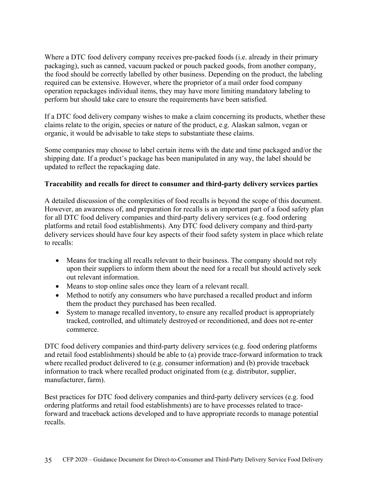Where a DTC food delivery company receives pre-packed foods (i.e. already in their primary packaging), such as canned, vacuum packed or pouch packed goods, from another company, the food should be correctly labelled by other business. Depending on the product, the labeling required can be extensive. However, where the proprietor of a mail order food company operation repackages individual items, they may have more limiting mandatory labeling to perform but should take care to ensure the requirements have been satisfied.

If a DTC food delivery company wishes to make a claim concerning its products, whether these claims relate to the origin, species or nature of the product, e.g. Alaskan salmon, vegan or organic, it would be advisable to take steps to substantiate these claims.

Some companies may choose to label certain items with the date and time packaged and/or the shipping date. If a product's package has been manipulated in any way, the label should be updated to reflect the repackaging date.

## **Traceability and recalls for direct to consumer and third-party delivery services parties**

A detailed discussion of the complexities of food recalls is beyond the scope of this document. However, an awareness of, and preparation for recalls is an important part of a food safety plan for all DTC food delivery companies and third-party delivery services (e.g. food ordering platforms and retail food establishments). Any DTC food delivery company and third-party delivery services should have four key aspects of their food safety system in place which relate to recalls:

- Means for tracking all recalls relevant to their business. The company should not rely upon their suppliers to inform them about the need for a recall but should actively seek out relevant information.
- Means to stop online sales once they learn of a relevant recall.
- Method to notify any consumers who have purchased a recalled product and inform them the product they purchased has been recalled.
- System to manage recalled inventory, to ensure any recalled product is appropriately tracked, controlled, and ultimately destroyed or reconditioned, and does not re-enter commerce.

DTC food delivery companies and third-party delivery services (e.g. food ordering platforms and retail food establishments) should be able to (a) provide trace-forward information to track where recalled product delivered to (e.g. consumer information) and (b) provide traceback information to track where recalled product originated from (e.g. distributor, supplier, manufacturer, farm).

Best practices for DTC food delivery companies and third-party delivery services (e.g. food ordering platforms and retail food establishments) are to have processes related to traceforward and traceback actions developed and to have appropriate records to manage potential recalls.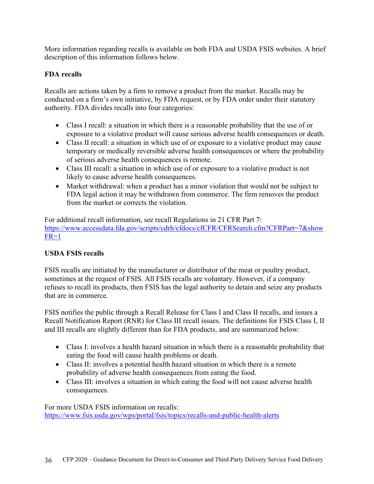More information regarding recalls is available on both FDA and USDA FSIS websites. A brief description of this information follows below.

## **FDA recalls**

Recalls are actions taken by a firm to remove a product from the market. Recalls may be conducted on a firm's own initiative, by FDA request, or by FDA order under their statutory authority. FDA divides recalls into four categories:

- Class I recall: a situation in which there is a reasonable probability that the use of or exposure to a violative product will cause serious adverse health consequences or death.
- Class II recall: a situation in which use of or exposure to a violative product may cause temporary or medically reversible adverse health consequences or where the probability of serious adverse health consequences is remote.
- Class III recall: a situation in which use of or exposure to a violative product is not likely to cause adverse health consequences.
- Market withdrawal: when a product has a minor violation that would not be subject to FDA legal action it may be withdrawn from commerce. The firm removes the product from the market or corrects the violation.

For additional recall information, see recall Regulations in 21 CFR Part 7: https://www.accessdata.fda.gov/scripts/cdrh/cfdocs/cfCFR/CFRSearch.cfm?CFRPart=7&show  $FR=1$ 

## **USDA FSIS recalls**

FSIS recalls are initiated by the manufacturer or distributor of the meat or poultry product, sometimes at the request of FSIS. All FSIS recalls are voluntary. However, if a company refuses to recall its products, then FSIS has the legal authority to detain and seize any products that are in commerce.

FSIS notifies the public through a Recall Release for Class I and Class II recalls, and issues a Recall Notification Report (RNR) for Class III recall issues. The definitions for FSIS Class I, II and III recalls are slightly different than for FDA products, and are summarized below:

- Class I: involves a health hazard situation in which there is a reasonable probability that eating the food will cause health problems or death.
- Class II: involves a potential health hazard situation in which there is a remote probability of adverse health consequences from eating the food.
- Class III: involves a situation in which eating the food will not cause adverse health consequences.

For more USDA FSIS information on recalls:

https://www.fsis.usda.gov/wps/portal/fsis/topics/recalls-and-public-health-alerts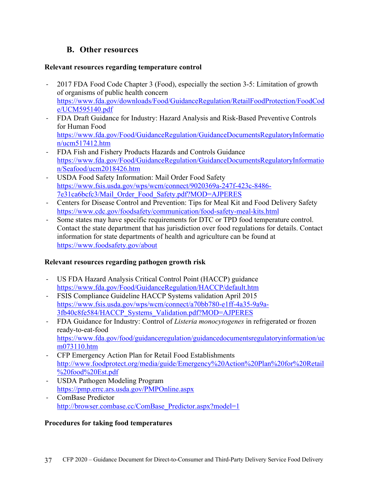## **B. Other resources**

## **Relevant resources regarding temperature control**

- 2017 FDA Food Code Chapter 3 (Food), especially the section 3-5: Limitation of growth of organisms of public health concern https://www.fda.gov/downloads/Food/GuidanceRegulation/RetailFoodProtection/FoodCod e/UCM595140.pdf
- FDA Draft Guidance for Industry: Hazard Analysis and Risk-Based Preventive Controls for Human Food https://www.fda.gov/Food/GuidanceRegulation/GuidanceDocumentsRegulatoryInformatio n/ucm517412.htm
- FDA Fish and Fishery Products Hazards and Controls Guidance https://www.fda.gov/Food/GuidanceRegulation/GuidanceDocumentsRegulatoryInformatio n/Seafood/ucm2018426.htm
- USDA Food Safety Information: Mail Order Food Safety https://www.fsis.usda.gov/wps/wcm/connect/9020369a-247f-423c-8486- 7e31ca6bcfc3/Mail\_Order\_Food\_Safety.pdf?MOD=AJPERES
- Centers for Disease Control and Prevention: Tips for Meal Kit and Food Delivery Safety https://www.cdc.gov/foodsafety/communication/food-safety-meal-kits.html
- Some states may have specific requirements for DTC or TPD food temperature control. Contact the state department that has jurisdiction over food regulations for details. Contact information for state departments of health and agriculture can be found at https://www.foodsafety.gov/about

## **Relevant resources regarding pathogen growth risk**

- US FDA Hazard Analysis Critical Control Point (HACCP) guidance https://www.fda.gov/Food/GuidanceRegulation/HACCP/default.htm
- FSIS Compliance Guideline HACCP Systems validation April 2015 https://www.fsis.usda.gov/wps/wcm/connect/a70bb780-e1ff-4a35-9a9a-3fb40c8fe584/HACCP\_Systems\_Validation.pdf?MOD=AJPERES
- FDA Guidance for Industry: Control of *Listeria monocytogenes* in refrigerated or frozen ready-to-eat-food https://www.fda.gov/food/guidanceregulation/guidancedocumentsregulatoryinformation/uc m073110.htm
- CFP Emergency Action Plan for Retail Food Establishments http://www.foodprotect.org/media/guide/Emergency%20Action%20Plan%20for%20Retail %20food%20Est.pdf
- USDA Pathogen Modeling Program https://pmp.errc.ars.usda.gov/PMPOnline.aspx
- ComBase Predictor http://browser.combase.cc/ComBase\_Predictor.aspx?model=1

## **Procedures for taking food temperatures**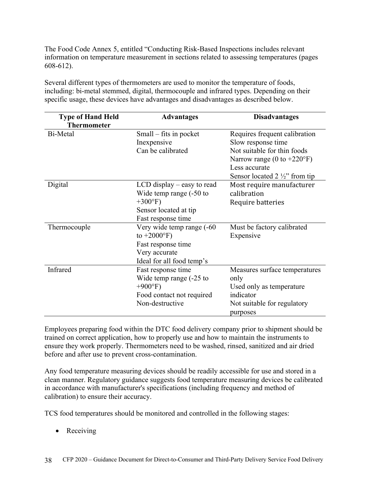The Food Code Annex 5, entitled "Conducting Risk-Based Inspections includes relevant information on temperature measurement in sections related to assessing temperatures (pages 608-612).

Several different types of thermometers are used to monitor the temperature of foods, including: bi-metal stemmed, digital, thermocouple and infrared types. Depending on their specific usage, these devices have advantages and disadvantages as described below.

| <b>Type of Hand Held</b><br><b>Thermometer</b> | <b>Advantages</b>                                                                                                       | <b>Disadvantages</b>                                                                                                                        |
|------------------------------------------------|-------------------------------------------------------------------------------------------------------------------------|---------------------------------------------------------------------------------------------------------------------------------------------|
| Bi-Metal                                       | Small $-$ fits in pocket<br>Inexpensive<br>Can be calibrated                                                            | Requires frequent calibration<br>Slow response time<br>Not suitable for thin foods<br>Narrow range (0 to $+220^{\circ}F$ )<br>Less accurate |
| Digital                                        | $LCD$ display – easy to read<br>Wide temp range $(-50)$ to<br>$+300$ °F)<br>Sensor located at tip<br>Fast response time | Sensor located $2\frac{1}{2}$ from tip<br>Most require manufacturer<br>calibration<br>Require batteries                                     |
| Thermocouple                                   | Very wide temp range (-60<br>to $+2000$ °F)<br>Fast response time<br>Very accurate<br>Ideal for all food temp's         | Must be factory calibrated<br>Expensive                                                                                                     |
| Infrared                                       | Fast response time<br>Wide temp range $(-25)$ to<br>$+900^{\circ}F$<br>Food contact not required<br>Non-destructive     | Measures surface temperatures<br>only<br>Used only as temperature<br>indicator<br>Not suitable for regulatory<br>purposes                   |

Employees preparing food within the DTC food delivery company prior to shipment should be trained on correct application, how to properly use and how to maintain the instruments to ensure they work properly. Thermometers need to be washed, rinsed, sanitized and air dried before and after use to prevent cross-contamination.

Any food temperature measuring devices should be readily accessible for use and stored in a clean manner. Regulatory guidance suggests food temperature measuring devices be calibrated in accordance with manufacturer's specifications (including frequency and method of calibration) to ensure their accuracy.

TCS food temperatures should be monitored and controlled in the following stages:

• Receiving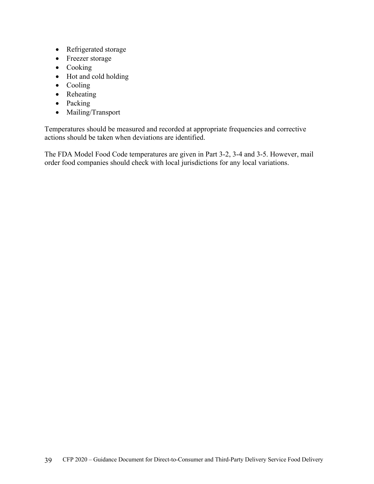- Refrigerated storage
- Freezer storage
- Cooking
- Hot and cold holding
- Cooling
- Reheating
- Packing
- Mailing/Transport

Temperatures should be measured and recorded at appropriate frequencies and corrective actions should be taken when deviations are identified.

The FDA Model Food Code temperatures are given in Part 3-2, 3-4 and 3-5. However, mail order food companies should check with local jurisdictions for any local variations.